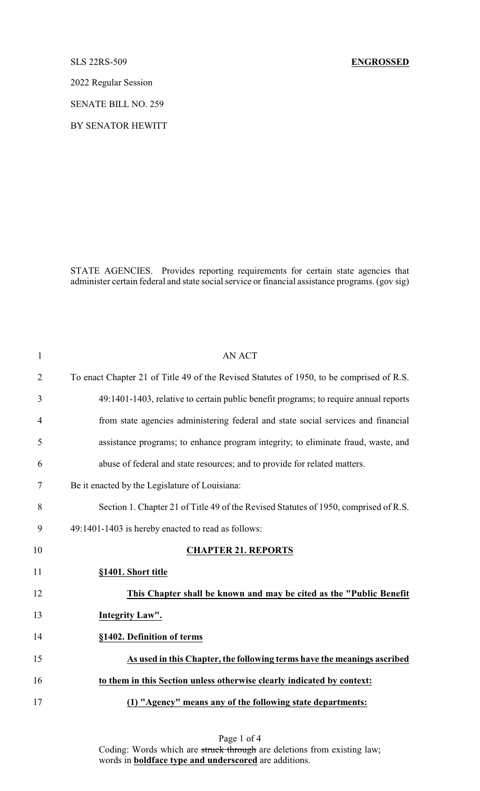## SLS 22RS-509 **ENGROSSED**

2022 Regular Session

SENATE BILL NO. 259

BY SENATOR HEWITT

STATE AGENCIES. Provides reporting requirements for certain state agencies that administer certain federal and state social service or financial assistance programs. (gov sig)

| $\mathbf{1}$   | <b>AN ACT</b>                                                                            |
|----------------|------------------------------------------------------------------------------------------|
| $\overline{2}$ | To enact Chapter 21 of Title 49 of the Revised Statutes of 1950, to be comprised of R.S. |
| 3              | 49:1401-1403, relative to certain public benefit programs; to require annual reports     |
| $\overline{4}$ | from state agencies administering federal and state social services and financial        |
| 5              | assistance programs; to enhance program integrity; to eliminate fraud, waste, and        |
| 6              | abuse of federal and state resources; and to provide for related matters.                |
| $\tau$         | Be it enacted by the Legislature of Louisiana:                                           |
| 8              | Section 1. Chapter 21 of Title 49 of the Revised Statutes of 1950, comprised of R.S.     |
| 9              | 49:1401-1403 is hereby enacted to read as follows:                                       |
| 10             | <b>CHAPTER 21. REPORTS</b>                                                               |
| 11             | §1401. Short title                                                                       |
| 12             | This Chapter shall be known and may be cited as the "Public Benefit"                     |
| 13             | Integrity Law".                                                                          |
| 14             | §1402. Definition of terms                                                               |
| 15             | As used in this Chapter, the following terms have the meanings ascribed                  |
| 16             | to them in this Section unless otherwise clearly indicated by context:                   |
| 17             | (1) "Agency" means any of the following state departments:                               |

Page 1 of 4 Coding: Words which are struck through are deletions from existing law; words in **boldface type and underscored** are additions.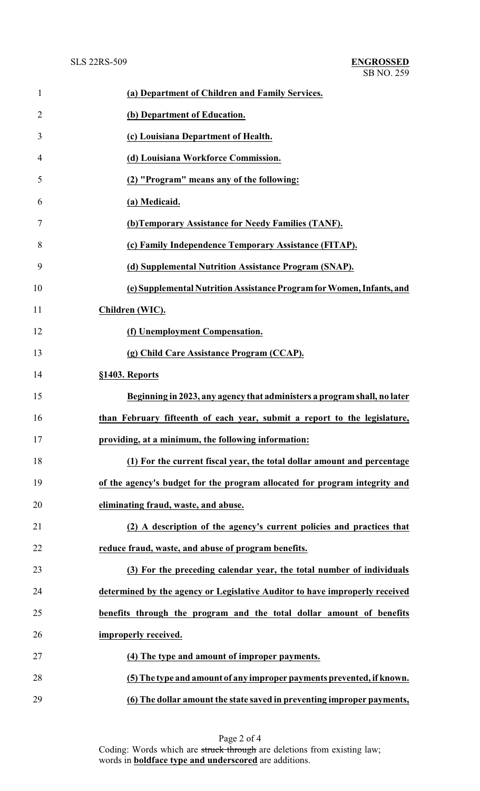| $\mathbf{1}$   | (a) Department of Children and Family Services.                             |
|----------------|-----------------------------------------------------------------------------|
| $\overline{2}$ | (b) Department of Education.                                                |
| 3              | (c) Louisiana Department of Health.                                         |
| 4              | (d) Louisiana Workforce Commission.                                         |
| 5              | (2) "Program" means any of the following:                                   |
| 6              | (a) Medicaid.                                                               |
| 7              | (b) Temporary Assistance for Needy Families (TANF).                         |
| 8              | (c) Family Independence Temporary Assistance (FITAP).                       |
| 9              | (d) Supplemental Nutrition Assistance Program (SNAP).                       |
| 10             | (e) Supplemental Nutrition Assistance Program for Women, Infants, and       |
| 11             | Children (WIC).                                                             |
| 12             | (f) Unemployment Compensation.                                              |
| 13             | (g) Child Care Assistance Program (CCAP).                                   |
| 14             | §1403. Reports                                                              |
| 15             | Beginning in 2023, any agency that administers a program shall, no later    |
| 16             | than February fifteenth of each year, submit a report to the legislature,   |
| 17             | providing, at a minimum, the following information:                         |
| 18             | (1) For the current fiscal year, the total dollar amount and percentage     |
| 19             | of the agency's budget for the program allocated for program integrity and  |
| 20             | eliminating fraud, waste, and abuse.                                        |
| 21             | (2) A description of the agency's current policies and practices that       |
| 22             | reduce fraud, waste, and abuse of program benefits.                         |
| 23             | (3) For the preceding calendar year, the total number of individuals        |
| 24             | determined by the agency or Legislative Auditor to have improperly received |
| 25             | benefits through the program and the total dollar amount of benefits        |
| 26             | improperly received.                                                        |
| 27             | (4) The type and amount of improper payments.                               |
| 28             | (5) The type and amount of any improper payments prevented, if known.       |
| 29             | (6) The dollar amount the state saved in preventing improper payments,      |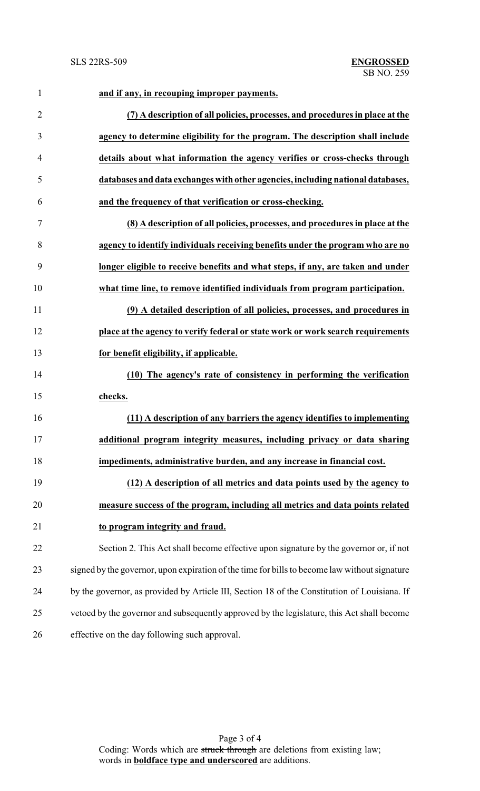| $\mathbf{1}$   | and if any, in recouping improper payments.                                                   |
|----------------|-----------------------------------------------------------------------------------------------|
| $\overline{2}$ | (7) A description of all policies, processes, and procedures in place at the                  |
| 3              | agency to determine eligibility for the program. The description shall include                |
| 4              | details about what information the agency verifies or cross-checks through                    |
| 5              | databases and data exchanges with other agencies, including national databases,               |
| 6              | and the frequency of that verification or cross-checking.                                     |
| 7              | (8) A description of all policies, processes, and procedures in place at the                  |
| 8              | agency to identify individuals receiving benefits under the program who are no                |
| 9              | longer eligible to receive benefits and what steps, if any, are taken and under               |
| 10             | what time line, to remove identified individuals from program participation.                  |
| 11             | (9) A detailed description of all policies, processes, and procedures in                      |
| 12             | place at the agency to verify federal or state work or work search requirements               |
| 13             | for benefit eligibility, if applicable.                                                       |
| 14             | (10) The agency's rate of consistency in performing the verification                          |
| 15             | checks.                                                                                       |
| 16             | (11) A description of any barriers the agency identifies to implementing                      |
| 17             | additional program integrity measures, including privacy or data sharing                      |
| 18             | impediments, administrative burden, and any increase in financial cost.                       |
| 19             | (12) A description of all metrics and data points used by the agency to                       |
| 20             | measure success of the program, including all metrics and data points related                 |
| 21             | to program integrity and fraud.                                                               |
| 22             | Section 2. This Act shall become effective upon signature by the governor or, if not          |
| 23             | signed by the governor, upon expiration of the time for bills to become law without signature |
| 24             | by the governor, as provided by Article III, Section 18 of the Constitution of Louisiana. If  |
| 25             | vetoed by the governor and subsequently approved by the legislature, this Act shall become    |
| 26             | effective on the day following such approval.                                                 |